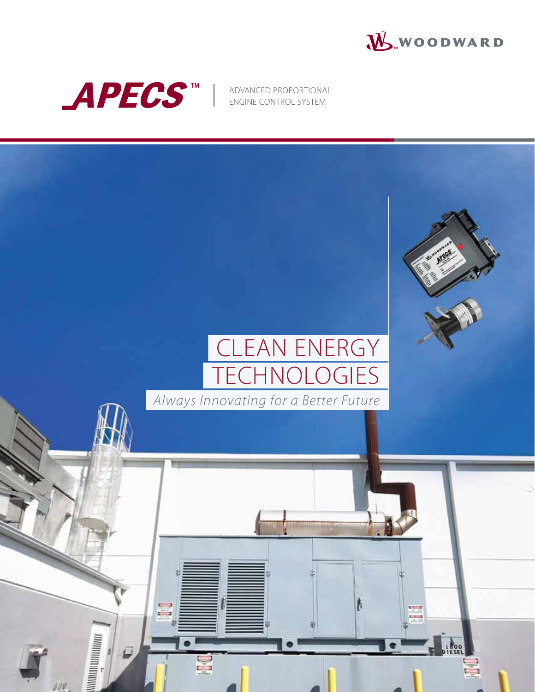



ADVANCED PROPORTIONAL ENGINE CONTROL SYSTEM

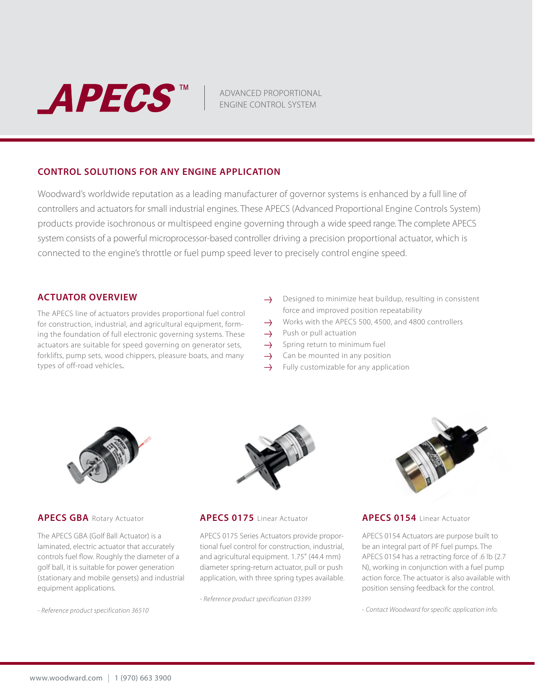

ADVANCED PROPORTIONAL ENGINE CONTROL SYSTEM

## **CONTROL SOLUTIONS FOR ANY ENGINE APPLICATION**

Woodward's worldwide reputation as a leading manufacturer of governor systems is enhanced by a full line of controllers and actuators for small industrial engines. These APECS (Advanced Proportional Engine Controls System) products provide isochronous or multispeed engine governing through a wide speed range. The complete APECS system consists of a powerful microprocessor-based controller driving a precision proportional actuator, which is connected to the engine's throttle or fuel pump speed lever to precisely control engine speed.

## **ACTUATOR OVERVIEW**

The APECS line of actuators provides proportional fuel control for construction, industrial, and agricultural equipment, forming the foundation of full electronic governing systems. These actuators are suitable for speed governing on generator sets, forklifts, pump sets, wood chippers, pleasure boats, and many types of off-road vehicles.

- $\rightarrow$  Designed to minimize heat buildup, resulting in consistent force and improved position repeatability
- Works with the APECS 500, 4500, and 4800 controllers  $\rightarrow$
- $\rightarrow$ Push or pull actuation
- $\rightarrow$ Spring return to minimum fuel
- Can be mounted in any position  $\rightarrow$
- $\rightarrow$ Fully customizable for any application



#### **APECS GBA** Rotary Actuator

The APECS GBA (Golf Ball Actuator) is a laminated, electric actuator that accurately controls fuel flow. Roughly the diameter of a golf ball, it is suitable for power generation (stationary and mobile gensets) and industrial equipment applications.

*- Reference product specification 36510*



#### **APECS 0175** Linear Actuator

APECS 0175 Series Actuators provide proportional fuel control for construction, industrial, and agricultural equipment. 1.75" (44.4 mm) diameter spring-return actuator, pull or push application, with three spring types available.

*- Reference product specification 03399*



#### **APECS 0154** Linear Actuator

APECS 0154 Actuators are purpose built to be an integral part of PF fuel pumps. The APECS 0154 has a retracting force of .6 lb (2.7 N), working in conjunction with a fuel pump action force. The actuator is also available with position sensing feedback for the control.

*- Contact Woodward for specific application info.*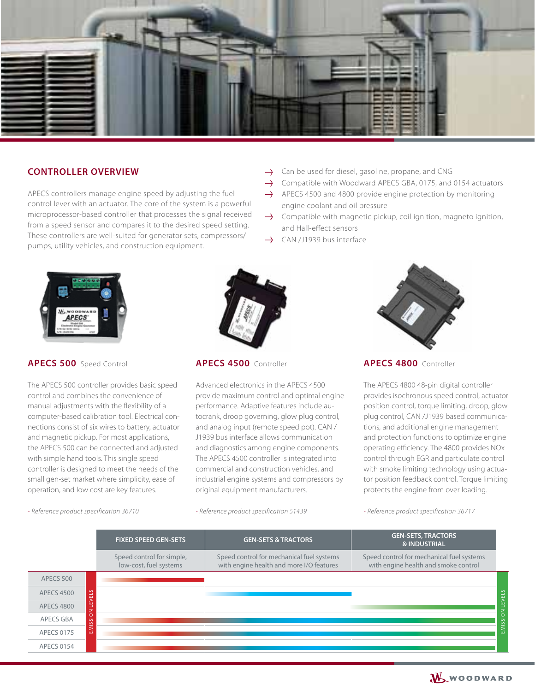

# **CONTROLLER OVERVIEW**

APECS controllers manage engine speed by adjusting the fuel control lever with an actuator. The core of the system is a powerful microprocessor-based controller that processes the signal received from a speed sensor and compares it to the desired speed setting. These controllers are well-suited for generator sets, compressors/ pumps, utility vehicles, and construction equipment.

- $\rightarrow$  Can be used for diesel, gasoline, propane, and CNG
- $\rightarrow$  Compatible with Woodward APECS GBA, 0175, and 0154 actuators
- $\rightarrow$  APECS 4500 and 4800 provide engine protection by monitoring engine coolant and oil pressure
- $\rightarrow$  Compatible with magnetic pickup, coil ignition, magneto ignition, and Hall-effect sensors
- CAN /J1939 bus interface



## **APECS 500** Speed Control

The APECS 500 controller provides basic speed control and combines the convenience of manual adjustments with the flexibility of a computer-based calibration tool. Electrical connections consist of six wires to battery, actuator and magnetic pickup. For most applications, the APECS 500 can be connected and adjusted with simple hand tools. This single speed controller is designed to meet the needs of the small gen-set market where simplicity, ease of operation, and low cost are key features.



**APECS 4500** Controller

Advanced electronics in the APECS 4500 provide maximum control and optimal engine performance. Adaptive features include autocrank, droop governing, glow plug control, and analog input (remote speed pot). CAN / J1939 bus interface allows communication and diagnostics among engine components. The APECS 4500 controller is integrated into commercial and construction vehicles, and industrial engine systems and compressors by original equipment manufacturers.

**APECS 4800** Controller

The APECS 4800 48-pin digital controller provides isochronous speed control, actuator position control, torque limiting, droop, glow plug control, CAN /J1939 based communications, and additional engine management and protection functions to optimize engine operating efficiency. The 4800 provides NOx control through EGR and particulate control with smoke limiting technology using actuator position feedback control. Torque limiting protects the engine from over loading.

*- Reference product specification 36710*

*- Reference product specification 51439*